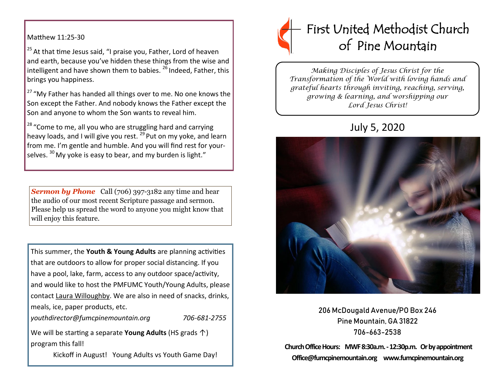Matthew 11:25-30

 $25$  At that time Jesus said, "I praise you, Father, Lord of heaven and earth, because you've hidden these things from the wise and intelligent and have shown them to babies.<sup>26</sup> Indeed, Father, this brings you happiness.

<sup>27</sup> "My Father has handed all things over to me. No one knows the Son except the Father. And nobody knows the Father except the Son and anyone to whom the Son wants to reveal him.

<sup>28</sup> "Come to me, all you who are struggling hard and carrying heavy loads, and I will give you rest.  $^{29}$  Put on my yoke, and learn from me. I'm gentle and humble. And you will find rest for yourselves.  $30$  My yoke is easy to bear, and my burden is light."

**Sermon by Phone** Call (706) 397-3182 any time and hear the audio of our most recent Scripture passage and sermon. Please help us spread the word to anyone you might know that will enjoy this feature.

This summer, the **Youth & Young Adults** are planning activities that are outdoors to allow for proper social distancing. If you have a pool, lake, farm, access to any outdoor space/activity, and would like to host the PMFUMC Youth/Young Adults, please contact Laura Willoughby. We are also in need of snacks, drinks, meals, ice, paper products, etc.

*youthdirector@fumcpinemountain.org 706-681-2755*

We will be starting a separate **Young Adults** (HS grads ↑) program this fall!

Kickoff in August! Young Adults vs Youth Game Day!



*Making Disciples of Jesus Christ for the Transformation of the World with loving hands and grateful hearts through inviting, reaching, serving, growing & learning, and worshipping our Lord Jesus Christ!* 

# July 5, 2020



206 McDougald Avenue/PO Box 246 Pine Mountain, GA 31822 706-663-2538

**Church Office Hours: MWF 8:30a.m. -12:30p.m. Or by appointment Office@fumcpinemountain.org www.fumcpinemountain.org**